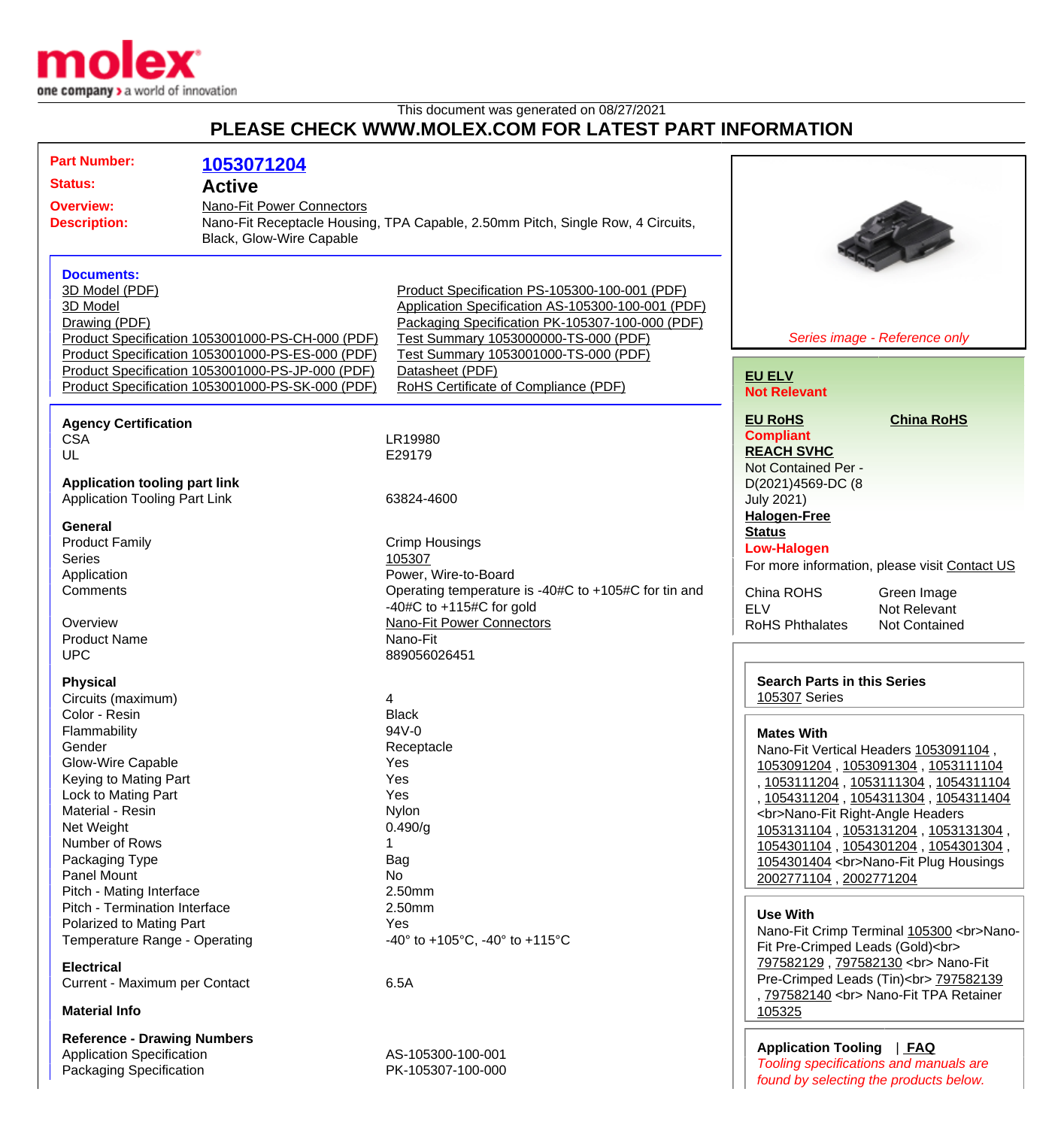

This document was generated on 08/27/2021

## **PLEASE CHECK WWW.MOLEX.COM FOR LATEST PART INFORMATION**

| <b>Part Number:</b><br><b>Status:</b>                                                                                                                                                                                                                                                                                                                                                                                                                     | 1053071204<br><b>Active</b> |                                                                                                                                                                                                                                                                                                  |                                                                                                                                                                                                                |                                                                                                                                                                                                                                                                                                                                                                                                                                                  |
|-----------------------------------------------------------------------------------------------------------------------------------------------------------------------------------------------------------------------------------------------------------------------------------------------------------------------------------------------------------------------------------------------------------------------------------------------------------|-----------------------------|--------------------------------------------------------------------------------------------------------------------------------------------------------------------------------------------------------------------------------------------------------------------------------------------------|----------------------------------------------------------------------------------------------------------------------------------------------------------------------------------------------------------------|--------------------------------------------------------------------------------------------------------------------------------------------------------------------------------------------------------------------------------------------------------------------------------------------------------------------------------------------------------------------------------------------------------------------------------------------------|
| Nano-Fit Power Connectors<br><b>Overview:</b><br><b>Description:</b><br>Black, Glow-Wire Capable                                                                                                                                                                                                                                                                                                                                                          |                             | Nano-Fit Receptacle Housing, TPA Capable, 2.50mm Pitch, Single Row, 4 Circuits,                                                                                                                                                                                                                  |                                                                                                                                                                                                                |                                                                                                                                                                                                                                                                                                                                                                                                                                                  |
| <b>Documents:</b><br>3D Model (PDF)<br>3D Model<br>Drawing (PDF)<br>Product Specification 1053001000-PS-CH-000 (PDF)<br>Product Specification 1053001000-PS-ES-000 (PDF)<br>Product Specification 1053001000-PS-JP-000 (PDF)<br>Product Specification 1053001000-PS-SK-000 (PDF)                                                                                                                                                                          |                             | Product Specification PS-105300-100-001 (PDF)<br>Application Specification AS-105300-100-001 (PDF)<br>Packaging Specification PK-105307-100-000 (PDF)<br>Test Summary 1053000000-TS-000 (PDF)<br>Test Summary 1053001000-TS-000 (PDF)<br>Datasheet (PDF)<br>RoHS Certificate of Compliance (PDF) | <b>EU ELV</b><br><b>Not Relevant</b>                                                                                                                                                                           | Series image - Reference only                                                                                                                                                                                                                                                                                                                                                                                                                    |
| <b>Agency Certification</b><br><b>CSA</b><br>UL<br><b>Application tooling part link</b>                                                                                                                                                                                                                                                                                                                                                                   |                             | LR19980<br>E29179                                                                                                                                                                                                                                                                                | <b>EU RoHS</b><br><b>Compliant</b><br><b>REACH SVHC</b><br>Not Contained Per -<br>D(2021)4569-DC (8                                                                                                            | <b>China RoHS</b>                                                                                                                                                                                                                                                                                                                                                                                                                                |
| <b>Application Tooling Part Link</b><br><b>General</b><br><b>Product Family</b><br><b>Series</b><br>Application<br>Comments<br>Overview<br><b>Product Name</b><br><b>UPC</b>                                                                                                                                                                                                                                                                              |                             | 63824-4600<br><b>Crimp Housings</b><br>105307<br>Power, Wire-to-Board<br>Operating temperature is -40#C to +105#C for tin and<br>-40#C to $+115$ #C for gold<br><b>Nano-Fit Power Connectors</b><br>Nano-Fit<br>889056026451                                                                     | <b>July 2021)</b><br><b>Halogen-Free</b><br><b>Status</b><br><b>Low-Halogen</b><br>China ROHS<br><b>ELV</b><br><b>RoHS Phthalates</b>                                                                          | For more information, please visit Contact US<br>Green Image<br>Not Relevant<br>Not Contained                                                                                                                                                                                                                                                                                                                                                    |
| <b>Physical</b><br>Circuits (maximum)<br>Color - Resin<br>Flammability<br>Gender<br>Glow-Wire Capable<br>Keying to Mating Part<br>Lock to Mating Part<br>Material - Resin<br>Net Weight<br>Number of Rows<br>Packaging Type<br><b>Panel Mount</b><br>Pitch - Mating Interface<br>Pitch - Termination Interface<br>Polarized to Mating Part<br>Temperature Range - Operating<br><b>Electrical</b><br>Current - Maximum per Contact<br><b>Material Info</b> |                             | 4<br><b>Black</b><br>94V-0<br>Receptacle<br>Yes<br>Yes<br>Yes<br>Nylon<br>0.490/g<br>1<br>Bag<br>No<br>2.50mm<br>2.50mm<br>Yes<br>-40 $\degree$ to +105 $\degree$ C, -40 $\degree$ to +115 $\degree$ C<br>6.5A                                                                                   | <b>Search Parts in this Series</b><br><b>105307 Series</b><br><b>Mates With</b><br><br>Nano-Fit Right-Angle Headers<br>2002771104, 2002771204<br><b>Use With</b><br>Fit Pre-Crimped Leads (Gold)<br><br>105325 | Nano-Fit Vertical Headers 1053091104,<br>1053091204, 1053091304, 1053111104<br>, 1053111204, 1053111304, 1054311104<br>, 1054311204, 1054311304, 1054311404<br>1053131104, 1053131204, 1053131304,<br>1054301104, 1054301204, 1054301304,<br>1054301404<br>Nano-Fit Plug Housings<br>Nano-Fit Crimp Terminal 105300<br>Nano-<br>797582129, 797582130<br>Nano-Fit<br>Pre-Crimped Leads (Tin)<br>797582139<br>, 797582140<br>Nano-Fit TPA Retainer |
| <b>Reference - Drawing Numbers</b><br><b>Application Specification</b><br>Packaging Specification                                                                                                                                                                                                                                                                                                                                                         |                             | AS-105300-100-001<br>PK-105307-100-000                                                                                                                                                                                                                                                           | Application Tooling   FAQ                                                                                                                                                                                      | Tooling specifications and manuals are                                                                                                                                                                                                                                                                                                                                                                                                           |

Tooling specifications and manuals are found by selecting the products below.